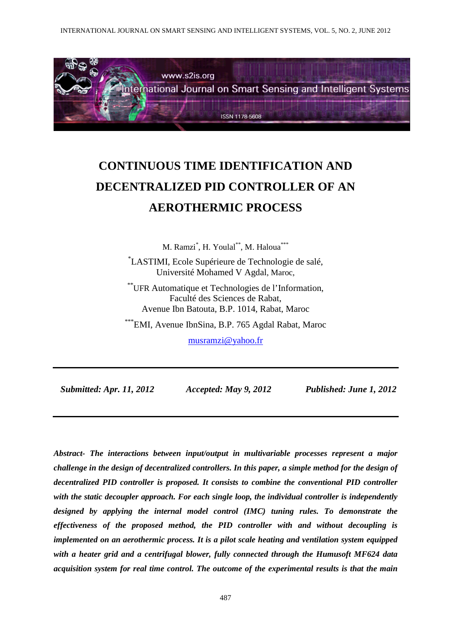

# **CONTINUOUS TIME IDENTIFICATION AND DECENTRALIZED PID CONTROLLER OF AN AEROTHERMIC PROCESS**

M. Ramzi\* , H. Youlal\*\*, M. Haloua\*\*\* \* LASTIMI, Ecole Supérieure de Technologie de salé, Université Mohamed V Agdal, Maroc,

\*\*UFR Automatique et Technologies de l'Information, Faculté des Sciences de Rabat, Avenue Ibn Batouta, B.P. 1014, Rabat, Maroc

\*\*\*EMI, Avenue IbnSina, B.P. 765 Agdal Rabat, Maroc

musramzi@yahoo.fr

 *Submitted: Apr. 11, 2012 Accepted: May 9, 2012 Published: June 1, 2012* 

*Abstract- The interactions between input/output in multivariable processes represent a major challenge in the design of decentralized controllers. In this paper, a simple method for the design of decentralized PID controller is proposed. It consists to combine the conventional PID controller with the static decoupler approach. For each single loop, the individual controller is independently designed by applying the internal model control (IMC) tuning rules. To demonstrate the effectiveness of the proposed method, the PID controller with and without decoupling is implemented on an aerothermic process. It is a pilot scale heating and ventilation system equipped with a heater grid and a centrifugal blower, fully connected through the Humusoft MF624 data acquisition system for real time control. The outcome of the experimental results is that the main*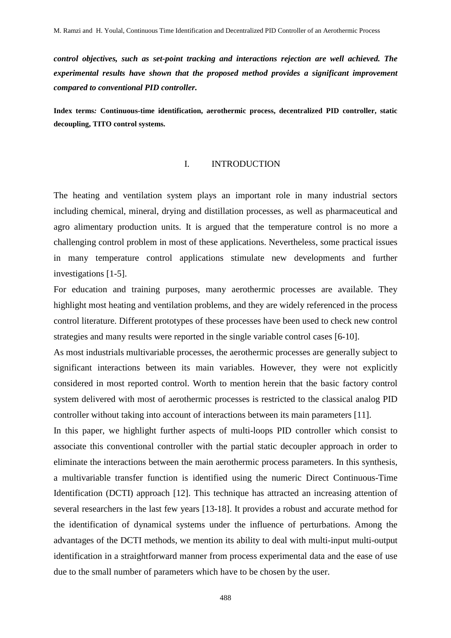*control objectives, such as set-point tracking and interactions rejection are well achieved. The experimental results have shown that the proposed method provides a significant improvement compared to conventional PID controller.* 

**Index terms***:* **Continuous-time identification, aerothermic process, decentralized PID controller, static decoupling, TITO control systems.** 

#### I. INTRODUCTION

The heating and ventilation system plays an important role in many industrial sectors including chemical, mineral, drying and distillation processes, as well as pharmaceutical and agro alimentary production units. It is argued that the temperature control is no more a challenging control problem in most of these applications. Nevertheless, some practical issues in many temperature control applications stimulate new developments and further investigations [1-5].

For education and training purposes, many aerothermic processes are available. They highlight most heating and ventilation problems, and they are widely referenced in the process control literature. Different prototypes of these processes have been used to check new control strategies and many results were reported in the single variable control cases [6-10].

As most industrials multivariable processes, the aerothermic processes are generally subject to significant interactions between its main variables. However, they were not explicitly considered in most reported control. Worth to mention herein that the basic factory control system delivered with most of aerothermic processes is restricted to the classical analog PID controller without taking into account of interactions between its main parameters [11].

In this paper, we highlight further aspects of multi-loops PID controller which consist to associate this conventional controller with the partial static decoupler approach in order to eliminate the interactions between the main aerothermic process parameters. In this synthesis, a multivariable transfer function is identified using the numeric Direct Continuous-Time Identification (DCTI) approach [12]. This technique has attracted an increasing attention of several researchers in the last few years [13-18]. It provides a robust and accurate method for the identification of dynamical systems under the influence of perturbations. Among the advantages of the DCTI methods, we mention its ability to deal with multi-input multi-output identification in a straightforward manner from process experimental data and the ease of use due to the small number of parameters which have to be chosen by the user.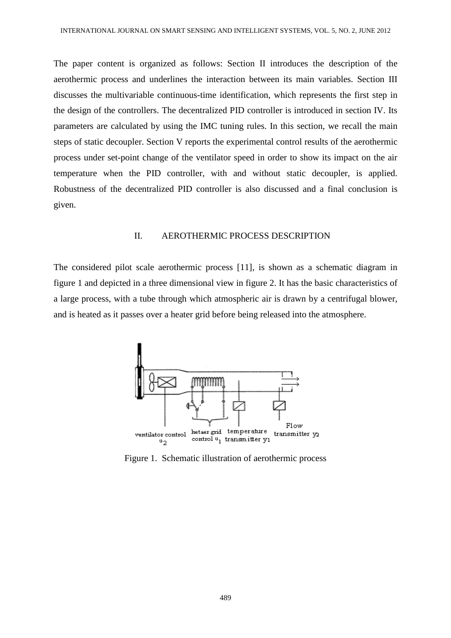The paper content is organized as follows: Section II introduces the description of the aerothermic process and underlines the interaction between its main variables. Section III discusses the multivariable continuous-time identification, which represents the first step in the design of the controllers. The decentralized PID controller is introduced in section IV. Its parameters are calculated by using the IMC tuning rules. In this section, we recall the main steps of static decoupler. Section V reports the experimental control results of the aerothermic process under set-point change of the ventilator speed in order to show its impact on the air temperature when the PID controller, with and without static decoupler, is applied. Robustness of the decentralized PID controller is also discussed and a final conclusion is given.

### II. AEROTHERMIC PROCESS DESCRIPTION

The considered pilot scale aerothermic process [11], is shown as a schematic diagram in figure 1 and depicted in a three dimensional view in figure 2. It has the basic characteristics of a large process, with a tube through which atmospheric air is drawn by a centrifugal blower, and is heated as it passes over a heater grid before being released into the atmosphere.



Figure 1. Schematic illustration of aerothermic process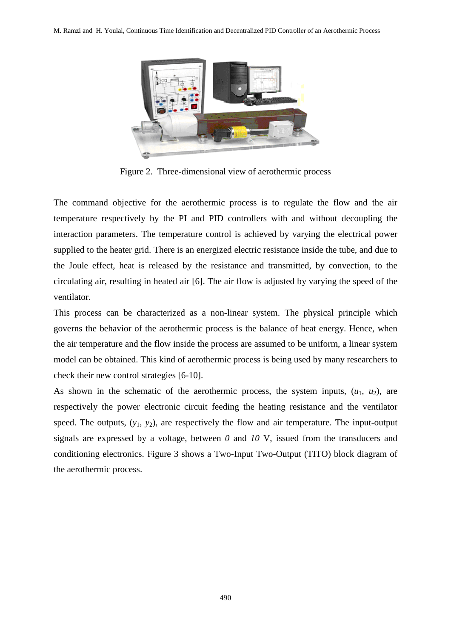

Figure 2. Three-dimensional view of aerothermic process

The command objective for the aerothermic process is to regulate the flow and the air temperature respectively by the PI and PID controllers with and without decoupling the interaction parameters. The temperature control is achieved by varying the electrical power supplied to the heater grid. There is an energized electric resistance inside the tube, and due to the Joule effect, heat is released by the resistance and transmitted, by convection, to the circulating air, resulting in heated air [6]. The air flow is adjusted by varying the speed of the ventilator.

This process can be characterized as a non-linear system. The physical principle which governs the behavior of the aerothermic process is the balance of heat energy. Hence, when the air temperature and the flow inside the process are assumed to be uniform, a linear system model can be obtained. This kind of aerothermic process is being used by many researchers to check their new control strategies [6-10].

As shown in the schematic of the aerothermic process, the system inputs,  $(u_1, u_2)$ , are respectively the power electronic circuit feeding the heating resistance and the ventilator speed. The outputs,  $(y_1, y_2)$ , are respectively the flow and air temperature. The input-output signals are expressed by a voltage, between *0* and *10* V, issued from the transducers and conditioning electronics. Figure 3 shows a Two-Input Two-Output (TITO) block diagram of the aerothermic process.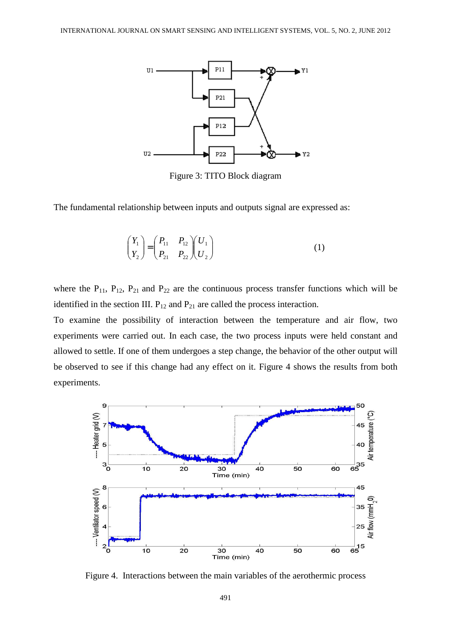

Figure 3: TITO Block diagram

The fundamental relationship between inputs and outputs signal are expressed as:

$$
\begin{pmatrix} Y_1 \\ Y_2 \end{pmatrix} = \begin{pmatrix} P_{11} & P_{12} \\ P_{21} & P_{22} \end{pmatrix} \begin{pmatrix} U_1 \\ U_2 \end{pmatrix}
$$
 (1)

where the  $P_{11}$ ,  $P_{12}$ ,  $P_{21}$  and  $P_{22}$  are the continuous process transfer functions which will be identified in the section III.  $P_{12}$  and  $P_{21}$  are called the process interaction.

To examine the possibility of interaction between the temperature and air flow, two experiments were carried out. In each case, the two process inputs were held constant and allowed to settle. If one of them undergoes a step change, the behavior of the other output will be observed to see if this change had any effect on it. Figure 4 shows the results from both experiments.



Figure 4. Interactions between the main variables of the aerothermic process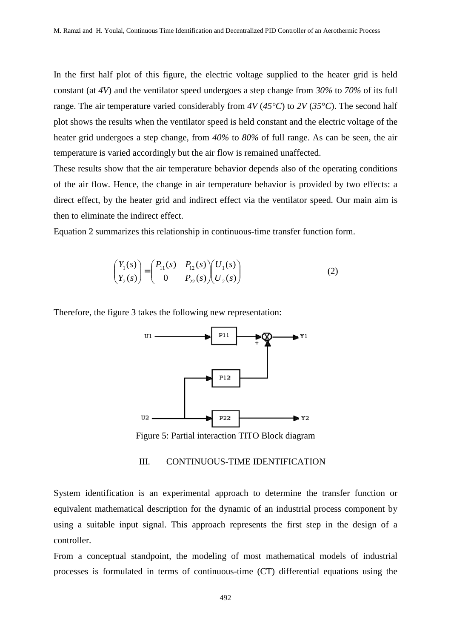In the first half plot of this figure, the electric voltage supplied to the heater grid is held constant (at *4V*) and the ventilator speed undergoes a step change from *30%* to *70%* of its full range. The air temperature varied considerably from *4V* (*45°C*) to *2V* (*35°C*). The second half plot shows the results when the ventilator speed is held constant and the electric voltage of the heater grid undergoes a step change, from *40%* to *80%* of full range. As can be seen, the air temperature is varied accordingly but the air flow is remained unaffected.

These results show that the air temperature behavior depends also of the operating conditions of the air flow. Hence, the change in air temperature behavior is provided by two effects: a direct effect, by the heater grid and indirect effect via the ventilator speed. Our main aim is then to eliminate the indirect effect.

Equation 2 summarizes this relationship in continuous-time transfer function form.

$$
\begin{pmatrix} Y_1(s) \\ Y_2(s) \end{pmatrix} = \begin{pmatrix} P_{11}(s) & P_{12}(s) \\ 0 & P_{22}(s) \end{pmatrix} \begin{pmatrix} U_1(s) \\ U_2(s) \end{pmatrix}
$$
 (2)

Therefore, the figure 3 takes the following new representation:



Figure 5: Partial interaction TITO Block diagram

## III. CONTINUOUS-TIME IDENTIFICATION

System identification is an experimental approach to determine the transfer function or equivalent mathematical description for the dynamic of an industrial process component by using a suitable input signal. This approach represents the first step in the design of a controller.

From a conceptual standpoint, the modeling of most mathematical models of industrial processes is formulated in terms of continuous-time (CT) differential equations using the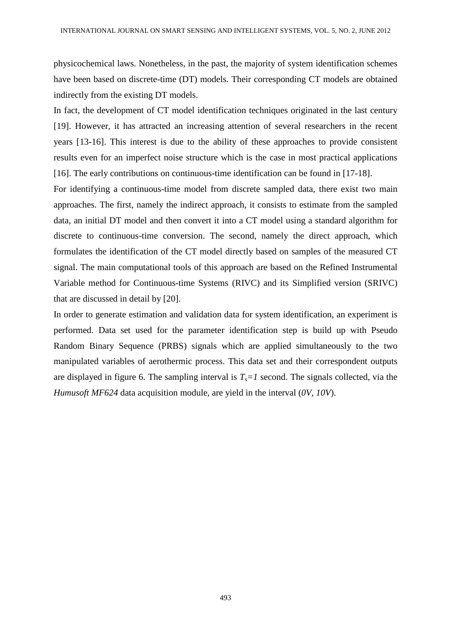physicochemical laws. Nonetheless, in the past, the majority of system identification schemes have been based on discrete-time (DT) models. Their corresponding CT models are obtained indirectly from the existing DT models.

In fact, the development of CT model identification techniques originated in the last century [19]. However, it has attracted an increasing attention of several researchers in the recent years [13-16]. This interest is due to the ability of these approaches to provide consistent results even for an imperfect noise structure which is the case in most practical applications [16]. The early contributions on continuous-time identification can be found in [17-18].

For identifying a continuous-time model from discrete sampled data, there exist two main approaches. The first, namely the indirect approach, it consists to estimate from the sampled data, an initial DT model and then convert it into a CT model using a standard algorithm for discrete to continuous-time conversion. The second, namely the direct approach, which formulates the identification of the CT model directly based on samples of the measured CT signal. The main computational tools of this approach are based on the Refined Instrumental Variable method for Continuous-time Systems (RIVC) and its Simplified version (SRIVC) that are discussed in detail by [20].

In order to generate estimation and validation data for system identification, an experiment is performed. Data set used for the parameter identification step is build up with Pseudo Random Binary Sequence (PRBS) signals which are applied simultaneously to the two manipulated variables of aerothermic process. This data set and their correspondent outputs are displayed in figure 6. The sampling interval is  $T<sub>s</sub>=1$  second. The signals collected, via the *Humusoft MF624* data acquisition module, are yield in the interval (*0V, 10V*).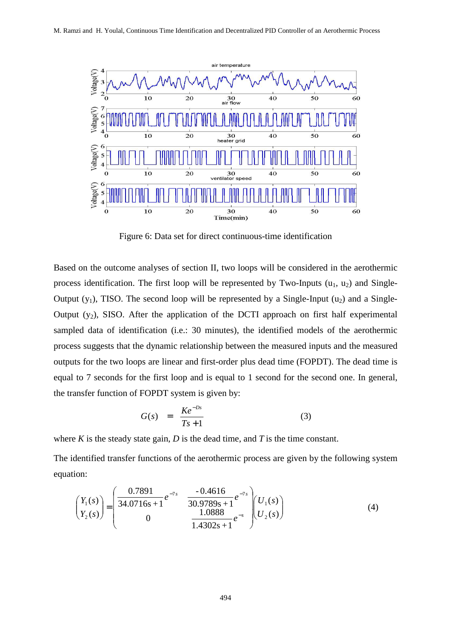

Figure 6: Data set for direct continuous-time identification

Based on the outcome analyses of section II, two loops will be considered in the aerothermic process identification. The first loop will be represented by Two-Inputs  $(u_1, u_2)$  and Single-Output  $(y_1)$ , TISO. The second loop will be represented by a Single-Input  $(u_2)$  and a Single-Output  $(y_2)$ , SISO. After the application of the DCTI approach on first half experimental sampled data of identification (i.e.: 30 minutes), the identified models of the aerothermic process suggests that the dynamic relationship between the measured inputs and the measured outputs for the two loops are linear and first-order plus dead time (FOPDT). The dead time is equal to 7 seconds for the first loop and is equal to 1 second for the second one. In general, the transfer function of FOPDT system is given by:

$$
G(s) = \frac{Ke^{-Ds}}{Ts+1} \tag{3}
$$

where  $K$  is the steady state gain,  $D$  is the dead time, and  $T$  is the time constant.

The identified transfer functions of the aerothermic process are given by the following system equation:

$$
\begin{pmatrix} Y_1(s) \\ Y_2(s) \end{pmatrix} = \begin{pmatrix} 0.7891 & -0.4616 & -7s \\ 34.0716s + 1 & 30.9789s + 1 \\ 0 & 1.0888 & 1.0388 \end{pmatrix} \begin{pmatrix} U_1(s) \\ U_2(s) \end{pmatrix}
$$
 (4)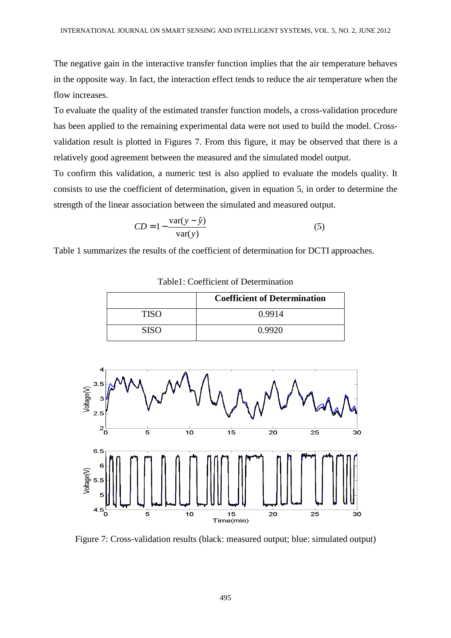The negative gain in the interactive transfer function implies that the air temperature behaves in the opposite way. In fact, the interaction effect tends to reduce the air temperature when the flow increases.

To evaluate the quality of the estimated transfer function models, a cross-validation procedure has been applied to the remaining experimental data were not used to build the model. Crossvalidation result is plotted in Figures 7. From this figure, it may be observed that there is a relatively good agreement between the measured and the simulated model output.

To confirm this validation, a numeric test is also applied to evaluate the models quality. It consists to use the coefficient of determination, given in equation 5, in order to determine the strength of the linear association between the simulated and measured output.

$$
CD = 1 - \frac{\text{var}(y - \hat{y})}{\text{var}(y)}
$$
(5)

Table 1 summarizes the results of the coefficient of determination for DCTI approaches.

|             | <b>Coefficient of Determination</b> |
|-------------|-------------------------------------|
| <b>TISO</b> | 0.9914                              |
| SISO        | 0.9920                              |

Table1: Coefficient of Determination



Figure 7: Cross-validation results (black: measured output; blue: simulated output)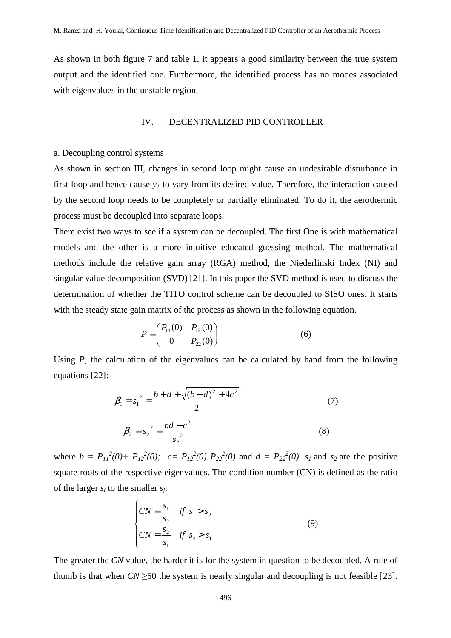As shown in both figure 7 and table 1, it appears a good similarity between the true system output and the identified one. Furthermore, the identified process has no modes associated with eigenvalues in the unstable region.

#### IV. DECENTRALIZED PID CONTROLLER

#### a. Decoupling control systems

As shown in section III, changes in second loop might cause an undesirable disturbance in first loop and hence cause  $y<sub>I</sub>$  to vary from its desired value. Therefore, the interaction caused by the second loop needs to be completely or partially eliminated. To do it, the aerothermic process must be decoupled into separate loops.

There exist two ways to see if a system can be decoupled. The first One is with mathematical models and the other is a more intuitive educated guessing method. The mathematical methods include the relative gain array (RGA) method, the Niederlinski Index (NI) and singular value decomposition (SVD) [21]. In this paper the SVD method is used to discuss the determination of whether the TITO control scheme can be decoupled to SISO ones. It starts with the steady state gain matrix of the process as shown in the following equation.

$$
P = \begin{pmatrix} P_{11}(0) & P_{12}(0) \\ 0 & P_{22}(0) \end{pmatrix}
$$
 (6)

Using *P*, the calculation of the eigenvalues can be calculated by hand from the following equations [22]:

$$
\beta_1 = s_1^2 = \frac{b + d + \sqrt{(b - d)^2 + 4c^2}}{2}
$$
\n
$$
\beta_2 = s_2^2 = \frac{bd - c^2}{s_2^2}
$$
\n(7)

2 2

where  $b = P_{11}^2(0) + P_{12}^2(0)$ ;  $c = P_{12}^2(0) P_{22}^2(0)$  and  $d = P_{22}^2(0)$ .  $s_1$  and  $s_2$  are the positive square roots of the respective eigenvalues. The condition number (CN) is defined as the ratio of the larger  $s_i$  to the smaller  $s_i$ :

$$
\begin{cases}\nCN = \frac{s_1}{s_2} & \text{if } s_1 > s_2 \\
CN = \frac{s_2}{s_1} & \text{if } s_2 > s_1\n\end{cases}
$$
\n(9)

The greater the *CN* value, the harder it is for the system in question to be decoupled. A rule of thumb is that when  $CN \geq 50$  the system is nearly singular and decoupling is not feasible [23].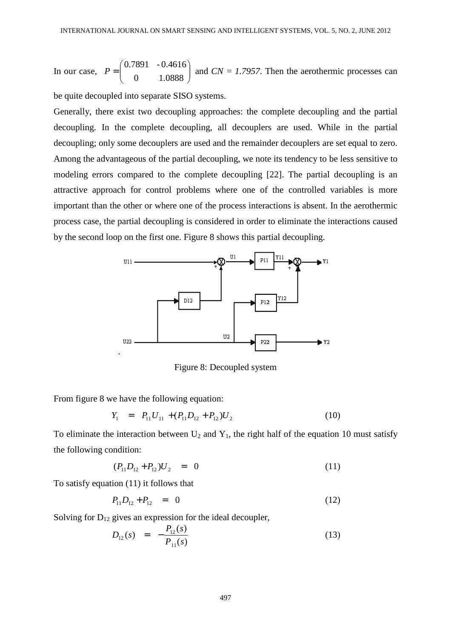In our case,  $P = \begin{bmatrix} 0.7671 & -0.4010 \\ 0 & 1.0888 \end{bmatrix}$ J  $\backslash$  $\overline{\phantom{a}}$ J ſ = 0 1.0888 0.7891 - 0.4616  $P = \begin{bmatrix} 0.76921 & 0.10008 \\ 0.00000 & 0.10000 \end{bmatrix}$  and  $CN = 1.7957$ . Then the aerothermic processes can

be quite decoupled into separate SISO systems.

Generally, there exist two decoupling approaches: the complete decoupling and the partial decoupling. In the complete decoupling, all decouplers are used. While in the partial decoupling; only some decouplers are used and the remainder decouplers are set equal to zero. Among the advantageous of the partial decoupling, we note its tendency to be less sensitive to modeling errors compared to the complete decoupling [22]. The partial decoupling is an attractive approach for control problems where one of the controlled variables is more important than the other or where one of the process interactions is absent. In the aerothermic process case, the partial decoupling is considered in order to eliminate the interactions caused by the second loop on the first one. Figure 8 shows this partial decoupling.



Figure 8: Decoupled system

From figure 8 we have the following equation:

$$
Y_1 = P_{11} U_{11} + (P_{11} D_{12} + P_{12}) U_2 \tag{10}
$$

To eliminate the interaction between  $U_2$  and  $Y_1$ , the right half of the equation 10 must satisfy the following condition:

$$
(P_{11}D_{12} + P_{12})U_2 = 0 \tag{11}
$$

To satisfy equation (11) it follows that

$$
P_{11}D_{12} + P_{12} = 0 \tag{12}
$$

Solving for  $D_{12}$  gives an expression for the ideal decoupler,

$$
D_{12}(s) = -\frac{P_{12}(s)}{P_{11}(s)}
$$
\n(13)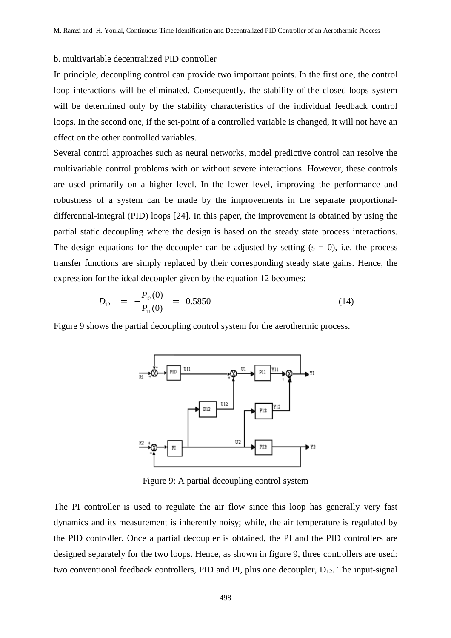### b. multivariable decentralized PID controller

In principle, decoupling control can provide two important points. In the first one, the control loop interactions will be eliminated. Consequently, the stability of the closed-loops system will be determined only by the stability characteristics of the individual feedback control loops. In the second one, if the set-point of a controlled variable is changed, it will not have an effect on the other controlled variables.

Several control approaches such as neural networks, model predictive control can resolve the multivariable control problems with or without severe interactions. However, these controls are used primarily on a higher level. In the lower level, improving the performance and robustness of a system can be made by the improvements in the separate proportionaldifferential-integral (PID) loops [24]. In this paper, the improvement is obtained by using the partial static decoupling where the design is based on the steady state process interactions. The design equations for the decoupler can be adjusted by setting  $(s = 0)$ , i.e. the process transfer functions are simply replaced by their corresponding steady state gains. Hence, the expression for the ideal decoupler given by the equation 12 becomes:

$$
D_{12} = -\frac{P_{12}(0)}{P_{11}(0)} = 0.5850 \tag{14}
$$

Figure 9 shows the partial decoupling control system for the aerothermic process.



Figure 9: A partial decoupling control system

The PI controller is used to regulate the air flow since this loop has generally very fast dynamics and its measurement is inherently noisy; while, the air temperature is regulated by the PID controller. Once a partial decoupler is obtained, the PI and the PID controllers are designed separately for the two loops. Hence, as shown in figure 9, three controllers are used: two conventional feedback controllers, PID and PI, plus one decoupler,  $D_{12}$ . The input-signal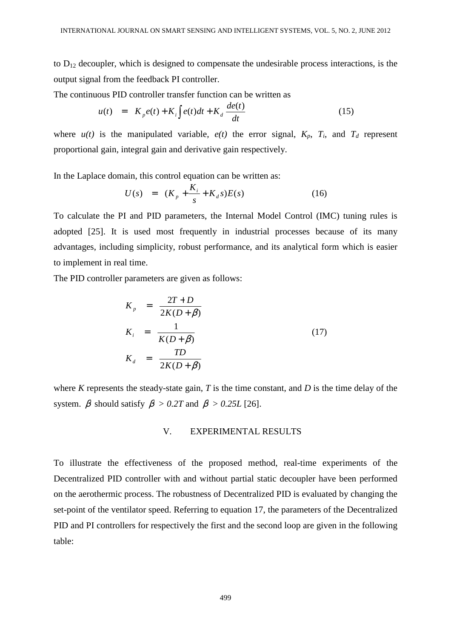to  $D_{12}$  decoupler, which is designed to compensate the undesirable process interactions, is the output signal from the feedback PI controller.

The continuous PID controller transfer function can be written as

$$
u(t) = K_p e(t) + K_i \int e(t)dt + K_d \frac{de(t)}{dt}
$$
 (15)

where  $u(t)$  is the manipulated variable,  $e(t)$  the error signal,  $K_p$ ,  $T_i$ , and  $T_d$  represent proportional gain, integral gain and derivative gain respectively.

In the Laplace domain, this control equation can be written as:

$$
U(s) = (K_p + \frac{K_i}{s} + K_d s)E(s)
$$
 (16)

To calculate the PI and PID parameters, the Internal Model Control (IMC) tuning rules is adopted [25]. It is used most frequently in industrial processes because of its many advantages, including simplicity, robust performance, and its analytical form which is easier to implement in real time.

The PID controller parameters are given as follows:

$$
K_p = \frac{2T + D}{2K(D + \beta)}
$$
  
\n
$$
K_i = \frac{1}{K(D + \beta)}
$$
  
\n
$$
K_d = \frac{TD}{2K(D + \beta)}
$$
\n(17)

where *K* represents the steady-state gain, *T* is the time constant, and *D* is the time delay of the system.  $\beta$  should satisfy  $\beta > 0.2T$  and  $\beta > 0.25L$  [26].

## V. EXPERIMENTAL RESULTS

To illustrate the effectiveness of the proposed method, real-time experiments of the Decentralized PID controller with and without partial static decoupler have been performed on the aerothermic process. The robustness of Decentralized PID is evaluated by changing the set-point of the ventilator speed. Referring to equation 17, the parameters of the Decentralized PID and PI controllers for respectively the first and the second loop are given in the following table: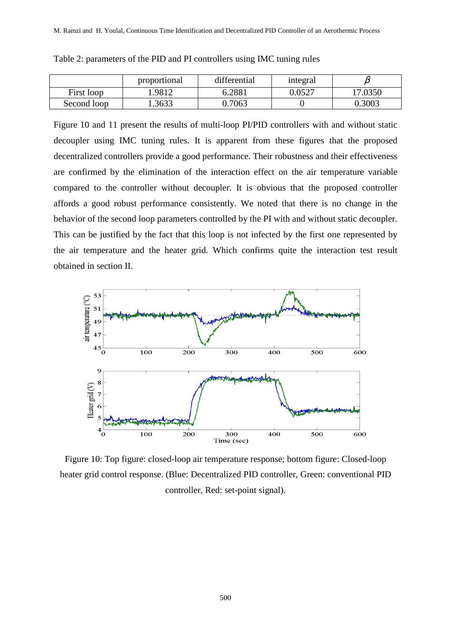|             | proportional | differential | integral |         |
|-------------|--------------|--------------|----------|---------|
| First loop  | .9812        | 6.2881       | 0.0527   | 17.0350 |
| Second loop | .3633        | 0.7063       |          | 0.3003  |

Table 2: parameters of the PID and PI controllers using IMC tuning rules

Figure 10 and 11 present the results of multi-loop PI/PID controllers with and without static decoupler using IMC tuning rules. It is apparent from these figures that the proposed decentralized controllers provide a good performance. Their robustness and their effectiveness are confirmed by the elimination of the interaction effect on the air temperature variable compared to the controller without decoupler. It is obvious that the proposed controller affords a good robust performance consistently. We noted that there is no change in the behavior of the second loop parameters controlled by the PI with and without static decoupler. This can be justified by the fact that this loop is not infected by the first one represented by the air temperature and the heater grid. Which confirms quite the interaction test result obtained in section II.



Figure 10: Top figure: closed-loop air temperature response; bottom figure: Closed-loop heater grid control response. (Blue: Decentralized PID controller, Green: conventional PID controller, Red: set-point signal).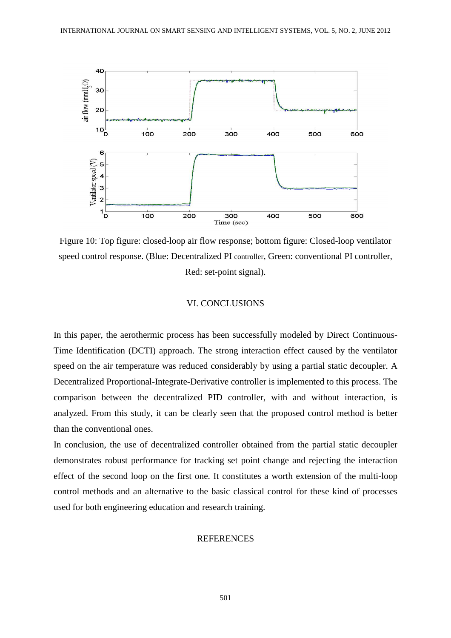

Figure 10: Top figure: closed-loop air flow response; bottom figure: Closed-loop ventilator speed control response. (Blue: Decentralized PI controller, Green: conventional PI controller, Red: set-point signal).

## VI. CONCLUSIONS

In this paper, the aerothermic process has been successfully modeled by Direct Continuous-Time Identification (DCTI) approach. The strong interaction effect caused by the ventilator speed on the air temperature was reduced considerably by using a partial static decoupler. A Decentralized Proportional-Integrate-Derivative controller is implemented to this process. The comparison between the decentralized PID controller, with and without interaction, is analyzed. From this study, it can be clearly seen that the proposed control method is better than the conventional ones.

In conclusion, the use of decentralized controller obtained from the partial static decoupler demonstrates robust performance for tracking set point change and rejecting the interaction effect of the second loop on the first one. It constitutes a worth extension of the multi-loop control methods and an alternative to the basic classical control for these kind of processes used for both engineering education and research training.

#### REFERENCES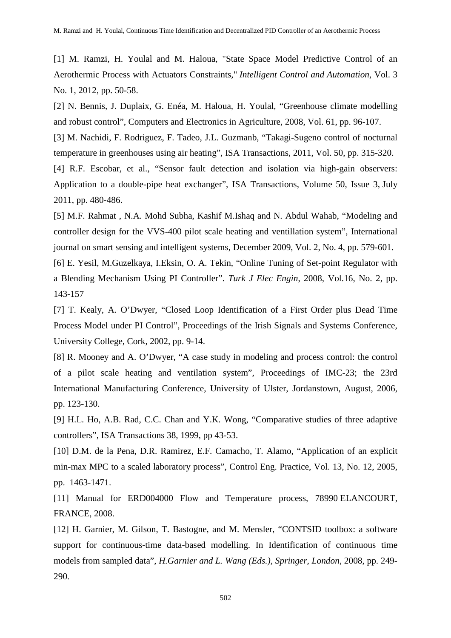[1] M. Ramzi, H. Youlal and M. Haloua, "State Space Model Predictive Control of an Aerothermic Process with Actuators Constraints," *Intelligent Control and Automation*, Vol. 3 No. 1, 2012, pp. 50-58.

[2] N. Bennis, J. Duplaix, G. Enéa, M. Haloua, H. Youlal, "Greenhouse climate modelling and robust control", Computers and Electronics in Agriculture, 2008, Vol. 61, pp. 96-107.

[3] M. Nachidi, F. Rodriguez, F. Tadeo, J.L. Guzmanb, "Takagi-Sugeno control of nocturnal temperature in greenhouses using air heating", ISA Transactions, 2011, Vol. 50, pp. 315-320.

[4] R.F. Escobar, et al., "Sensor fault detection and isolation via high-gain observers: Application to a double-pipe heat exchanger", ISA Transactions, Volume 50, Issue 3, July 2011, pp. 480-486.

[5] M.F. Rahmat , N.A. Mohd Subha, Kashif M.Ishaq and N. Abdul Wahab, "Modeling and controller design for the VVS-400 pilot scale heating and ventillation system", International journal on smart sensing and intelligent systems, December 2009, Vol. 2, No. 4, pp. 579-601.

[6] E. Yesil, M.Guzelkaya, I.Eksin, O. A. Tekin, "Online Tuning of Set-point Regulator with a Blending Mechanism Using PI Controller". *Turk J Elec Engin*, 2008, Vol.16, No. 2, pp. 143-157

[7] T. Kealy, A. O'Dwyer, "Closed Loop Identification of a First Order plus Dead Time Process Model under PI Control", Proceedings of the Irish Signals and Systems Conference, University College, Cork, 2002, pp. 9-14.

[8] R. Mooney and A. O'Dwyer, "A case study in modeling and process control: the control of a pilot scale heating and ventilation system", Proceedings of IMC-23; the 23rd International Manufacturing Conference, University of Ulster, Jordanstown, August, 2006, pp. 123-130.

[9] H.L. Ho, A.B. Rad, C.C. Chan and Y.K. Wong, "Comparative studies of three adaptive controllers", ISA Transactions 38, 1999, pp 43-53.

[10] D.M. de la Pena, D.R. Ramirez, E.F. Camacho, T. Alamo, "Application of an explicit min-max MPC to a scaled laboratory process", Control Eng. Practice, Vol. 13, No. 12, 2005, pp. 1463-1471.

[11] Manual for ERD004000 Flow and Temperature process, 78990 ELANCOURT, FRANCE, 2008.

[12] H. Garnier, M. Gilson, T. Bastogne, and M. Mensler, "CONTSID toolbox: a software support for continuous-time data-based modelling. In Identification of continuous time models from sampled data", *H.Garnier and L. Wang (Eds.), Springer, London*, 2008, pp. 249- 290.